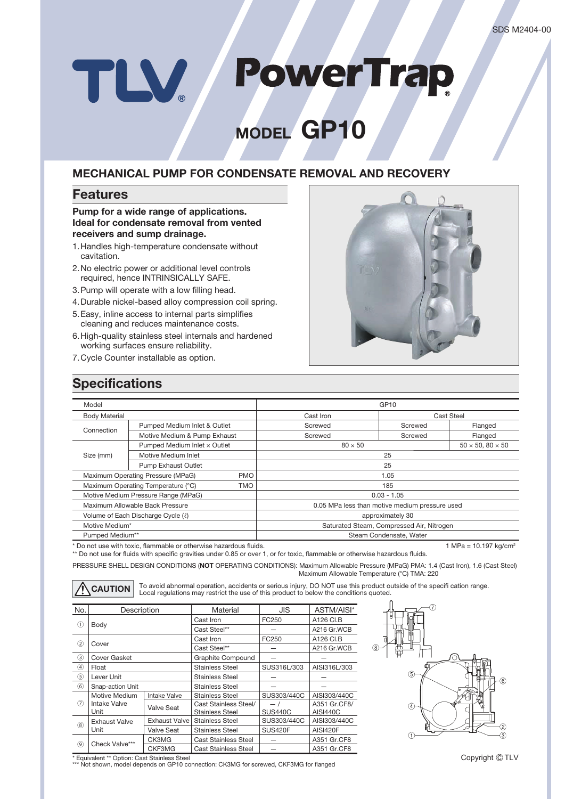# **PowerTrap** TLV

# **MODEL GP10**

### **MECHANICAL PUMP FOR CONDENSATE REMOVAL AND RECOVERY**

### **Features**

### **Pump for a wide range of applications. Ideal for condensate removal from vented receivers and sump drainage.**

- 1. Handles high-temperature condensate without cavitation.
- 2. No electric power or additional level controls required, hence INTRINSICALLY SAFE.
- 3. Pump will operate with a low filling head.
- 4. Durable nickel-based alloy compression coil spring.
- 5. Easy, inline access to internal parts simplifies cleaning and reduces maintenance costs.
- 6. High-quality stainless steel internals and hardened working surfaces ensure reliability.
- 7. Cycle Counter installable as option.



### **Specifications**

| Model                                     |                                                  | GP10                                      |                                                |         |         |
|-------------------------------------------|--------------------------------------------------|-------------------------------------------|------------------------------------------------|---------|---------|
| <b>Body Material</b>                      |                                                  | Cast Iron                                 | Cast Steel                                     |         |         |
| Connection                                | Pumped Medium Inlet & Outlet                     |                                           | Screwed                                        | Screwed | Flanged |
|                                           | Motive Medium & Pump Exhaust                     |                                           | Screwed                                        | Screwed | Flanged |
|                                           | Pumped Medium Inlet x Outlet                     |                                           | $80 \times 50$                                 |         |         |
| Size (mm)                                 | Motive Medium Inlet                              |                                           | 25                                             |         |         |
|                                           | <b>Pump Exhaust Outlet</b>                       |                                           | 25                                             |         |         |
|                                           | Maximum Operating Pressure (MPaG)<br><b>PMO</b>  |                                           | 1.05                                           |         |         |
|                                           | <b>TMO</b><br>Maximum Operating Temperature (°C) |                                           | 185                                            |         |         |
|                                           | Motive Medium Pressure Range (MPaG)              |                                           | $0.03 - 1.05$                                  |         |         |
|                                           | Maximum Allowable Back Pressure                  |                                           | 0.05 MPa less than motive medium pressure used |         |         |
| Volume of Each Discharge Cycle ( $\ell$ ) |                                                  | approximately 30                          |                                                |         |         |
| Motive Medium*                            |                                                  | Saturated Steam, Compressed Air, Nitrogen |                                                |         |         |
| Pumped Medium**                           |                                                  | Steam Condensate, Water                   |                                                |         |         |

\* Do not use with toxic, flammable or otherwise hazardous fluids. 1 MPa = 10.197 kg/cm2

\*\* Do not use for fluids with specific gravities under 0.85 or over 1, or for toxic, flammable or otherwise hazardous fluids.

PRESSURE SHELL DESIGN CONDITIONS (**NOT** OPERATING CONDITIONS): Maximum Allowable Pressure (MPaG) PMA: 1.4 (Cast Iron), 1.6 (Cast Steel) Maximum Allowable Temperature (°C) TMA: 220

CAUTION To avoid abnormal operation, accidents or serious injury, DO NOT use this product outside of the specifi cation range.<br>
Local regulations may restrict the use of this product to below the conditions quoted.

| No.            | Description                                  |                      | Material                                 | JIS                   | ASTM/AISI*               |  |  |
|----------------|----------------------------------------------|----------------------|------------------------------------------|-----------------------|--------------------------|--|--|
| ⋒              |                                              |                      | Cast Iron                                | FC250                 | A126 CI.B                |  |  |
| Body           |                                              |                      | Cast Steel**                             |                       | A216 Gr.WCB              |  |  |
|                | Cover                                        |                      | Cast Iron                                | FC250                 | A126 CI.B                |  |  |
| $\circled{2}$  |                                              |                      | Cast Steel**                             |                       | A216 Gr.WCB              |  |  |
| $\circled{3}$  | Cover Gasket                                 |                      | Graphite Compound                        |                       |                          |  |  |
| $\circledast$  | Float                                        |                      | <b>Stainless Steel</b>                   | SUS316L/303           | AISI316L/303             |  |  |
| $\circledS$    | Lever Unit                                   |                      | <b>Stainless Steel</b>                   |                       |                          |  |  |
| (6)            | Snap-action Unit                             |                      | <b>Stainless Steel</b>                   |                       |                          |  |  |
| $\circled7$    | Motive Medium<br><b>Intake Valve</b><br>Unit | <b>Intake Valve</b>  | <b>Stainless Steel</b>                   | SUS303/440C           | AISI303/440C             |  |  |
|                |                                              | Valve Seat           | Cast Stainless Steel/<br>Stainless Steel | — /<br><b>SUS440C</b> | A351 Gr.CF8/<br>AISI440C |  |  |
| (8)            | <b>Exhaust Valve</b><br>Unit                 | <b>Exhaust Valve</b> | <b>Stainless Steel</b>                   | SUS303/440C           | AISI303/440C             |  |  |
|                |                                              | <b>Valve Seat</b>    | <b>Stainless Steel</b>                   | SUS420F               | <b>AISI420F</b>          |  |  |
| $\circledcirc$ |                                              | CK3MG                | <b>Cast Stainless Steel</b>              |                       | A351 Gr.CF8              |  |  |
|                | Check Valve***                               | CKF3MG               | <b>Cast Stainless Steel</b>              |                       | A351 Gr.CF8              |  |  |



\* Equivalent \*\* Option: Cast Stainless Steel \*\*\* Not shown, model depends on GP10 connection: CK3MG for screwed, CKF3MG for flanged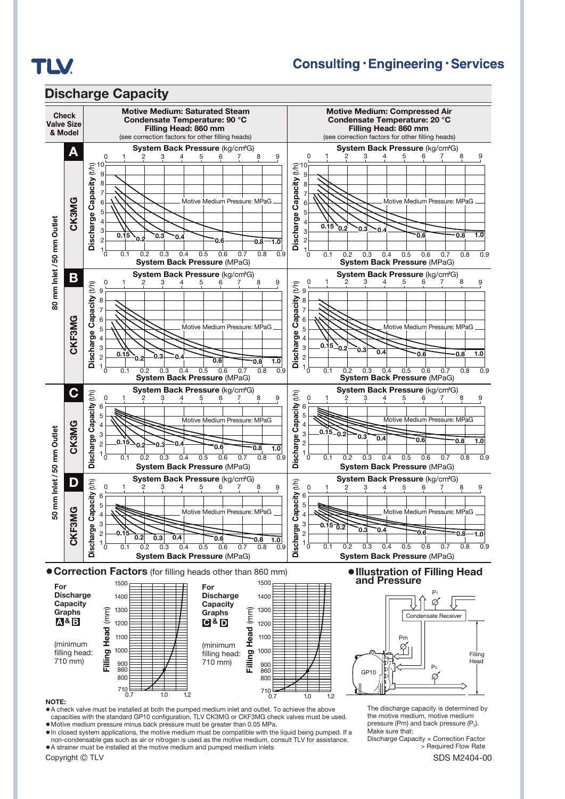

### **Consulting · Engineering · Services**



#### **NOTE:**

**●**A check valve must be installed at both the pumped medium inlet and outlet. To achieve the above capacities with the standard GP10 configuration, TLV CK3MG or CKF3MG check valves must be used.

**●**Motive medium pressure minus back pressure must be greater than 0.05 MPa.

**●**In closed system applications, the motive medium must be compatible with the liquid being pumped. If a non-condensable gas such as air or nitrogen is used as the motive medium, consult TLV for assistance. **●**A strainer must be installed at the motive medium and pumped medium inlets

The discharge capacity is determined by the motive medium, motive medium pressure (Pm) and back pressure  $(P_2)$ . Make sure that:

Discharge Capacity × Correction Factor > Required Flow Rate

Copyright © TLV SDS M2404-00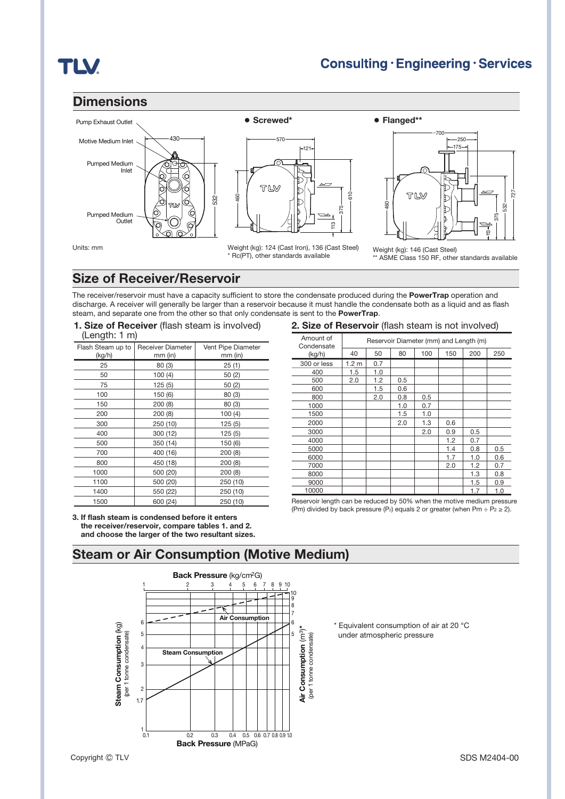# **TLV**

### **Dimensions**





Weight (kg): 124 (Cast Iron), 136 (Cast Steel) \* Rc(PT), other standards available



Units: mm

Weight (kg): 146 (Cast Steel) ASME Class 150 RF, other standards available

### **Size of Receiver/Reservoir**

The receiver/reservoir must have a capacity sufficient to store the condensate produced during the **PowerTrap** operation and discharge. A receiver will generally be larger than a reservoir because it must handle the condensate both as a liquid and as flash steam, and separate one from the other so that only condensate is sent to the **PowerTrap**.

#### **1. Size of Receiver** (flash steam is involved) (Length: 1 m)

| v                           | ,                                   |                                 |  |
|-----------------------------|-------------------------------------|---------------------------------|--|
| Flash Steam up to<br>(kg/h) | <b>Receiver Diameter</b><br>mm (in) | Vent Pipe Diameter<br>$mm$ (in) |  |
| 25                          | 80(3)                               | 25(1)                           |  |
| 50                          | 100(4)                              | 50(2)                           |  |
| 75                          | 125(5)                              | 50(2)                           |  |
| 100                         | 150 (6)                             | 80 (3)                          |  |
| 150                         | 200(8)                              | 80 (3)                          |  |
| 200                         | 200(8)                              | 100(4)                          |  |
| 300                         | 250 (10)                            | 125(5)                          |  |
| 400                         | 300 (12)                            | 125(5)                          |  |
| 500                         | 350 (14)                            | 150 (6)                         |  |
| 700                         | 400 (16)                            | 200(8)                          |  |
| 800                         | 450 (18)                            | 200(8)                          |  |
| 1000                        | 500 (20)                            | 200(8)                          |  |
| 1100                        | 500 (20)                            | 250 (10)                        |  |
| 1400                        | 550 (22)                            | 250 (10)                        |  |
| 1500                        | 600 (24)                            | 250 (10)                        |  |

**3. If flash steam is condensed before it enters the receiver/reservoir, compare tables 1. and 2.** 

#### **2. Size of Reservoir** (flash steam is not involved)

| Amount of<br>Condensate | Reservoir Diameter (mm) and Length (m) |     |     |     |     |     |     |
|-------------------------|----------------------------------------|-----|-----|-----|-----|-----|-----|
| (kg/h)                  | 40                                     | 50  | 80  | 100 | 150 | 200 | 250 |
| 300 or less             | 1.2 <sub>m</sub>                       | 0.7 |     |     |     |     |     |
| 400                     | 1.5                                    | 1.0 |     |     |     |     |     |
| 500                     | 2.0                                    | 1.2 | 0.5 |     |     |     |     |
| 600                     |                                        | 1.5 | 0.6 |     |     |     |     |
| 800                     |                                        | 2.0 | 0.8 | 0.5 |     |     |     |
| 1000                    |                                        |     | 1.0 | 0.7 |     |     |     |
| 1500                    |                                        |     | 1.5 | 1.0 |     |     |     |
| 2000                    |                                        |     | 2.0 | 1.3 | 0.6 |     |     |
| 3000                    |                                        |     |     | 2.0 | 0.9 | 0.5 |     |
| 4000                    |                                        |     |     |     | 1.2 | 0.7 |     |
| 5000                    |                                        |     |     |     | 1.4 | 0.8 | 0.5 |
| 6000                    |                                        |     |     |     | 1.7 | 1.0 | 0.6 |
| 7000                    |                                        |     |     |     | 2.0 | 1.2 | 0.7 |
| 8000                    |                                        |     |     |     |     | 1.3 | 0.8 |
| 9000                    |                                        |     |     |     |     | 1.5 | 0.9 |
| 10000                   |                                        |     |     |     |     | 1.7 | 1.0 |

Reservoir length can be reduced by 50% when the motive medium pressure (Pm) divided by back pressure (P<sub>2</sub>) equals 2 or greater (when Pm ÷ P<sub>2</sub> ≥ 2).

### **Steam or Air Consumption (Motive Medium) and choose the larger of the two resultant sizes.**



\* Equivalent consumption of air at 20 °C under atmospheric pressure